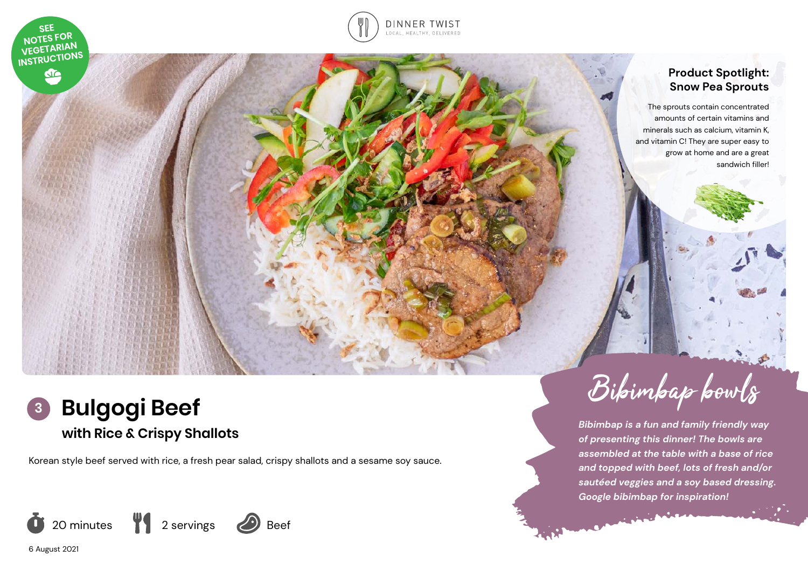



## **Product Spotlight: Snow Pea Sprouts**

The sprouts contain concentrated amounts of certain vitamins and minerals such as calcium, vitamin K, and vitamin C! They are super easy to grow at home and are a great sandwich filler!



Korean style beef served with rice, a fresh pear salad, crispy shallots and a sesame soy sauce.



Bibimbap bowls

*Bibimbap is a fun and family friendly way of presenting this dinner! The bowls are assembled at the table with a base of rice and topped with beef, lots of fresh and/or sautéed veggies and a soy based dressing. Google bibimbap for inspiration!* 

ر<br>منابع المنابع المنابع المنابع المنابع المنابع المنابع المنابع المنابع المنابع المنابع

6 August 2021